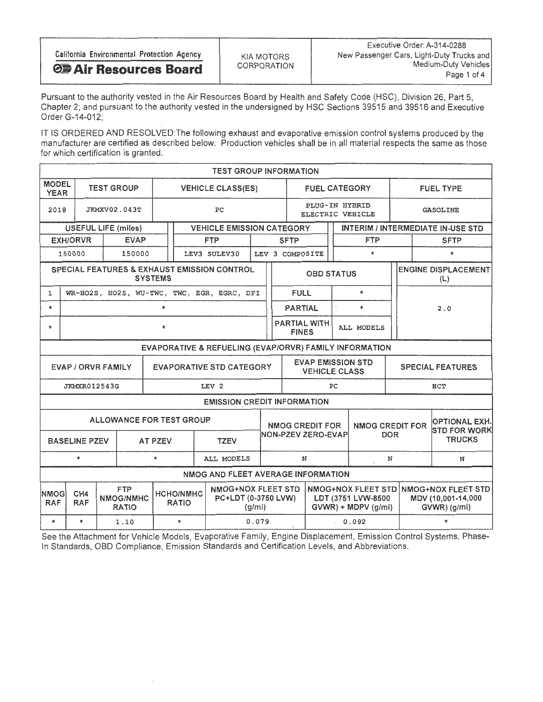| California Environmental Protection Agency | KIA MOTORS         | Executive Order: A-314-0288<br>New Passenger Cars, Light-Duty Trucks and |
|--------------------------------------------|--------------------|--------------------------------------------------------------------------|
| <b>O. Air Resources Board</b>              | <b>CORPORATION</b> | Medium-Duty Vehicles                                                     |
|                                            |                    | Page 1 of 4                                                              |
|                                            |                    |                                                                          |

Pursuant to the authority vested in the Air Resources Board by Health and Safety Code (HSC), Division 26, Part 5, Chapter 2; and pursuant to the authority vested in the undersigned by HSC Sections 39515 and 39516 and Executive Order G-14-012;

IT IS ORDERED AND RESOLVED: The following exhaust and evaporative emission control systems produced by the manufacturer are certified as described below. Production vehicles shall be in all material respects the same as those for which certification is granted.

|                                                                | <b>TEST GROUP INFORMATION</b>                 |              |                                                |                                    |                                  |                                                  |        |                                                                                      |                                                  |                      |            |                                                                           |                                   |                  |                                                          |   |
|----------------------------------------------------------------|-----------------------------------------------|--------------|------------------------------------------------|------------------------------------|----------------------------------|--------------------------------------------------|--------|--------------------------------------------------------------------------------------|--------------------------------------------------|----------------------|------------|---------------------------------------------------------------------------|-----------------------------------|------------------|----------------------------------------------------------|---|
| <b>MODEL</b><br><b>YEAR</b>                                    | <b>VEHICLE CLASS(ES)</b><br><b>TEST GROUP</b> |              |                                                |                                    |                                  |                                                  |        |                                                                                      |                                                  | <b>FUEL CATEGORY</b> |            |                                                                           |                                   | <b>FUEL TYPE</b> |                                                          |   |
| 2018                                                           |                                               | JKMXV02.043T | PC                                             | PLUG-IN HYBRID<br>ELECTRIC VEHICLE |                                  |                                                  |        | <b>GASOLINE</b>                                                                      |                                                  |                      |            |                                                                           |                                   |                  |                                                          |   |
| <b>VEHICLE EMISSION CATEGORY</b><br><b>USEFUL LIFE (miles)</b> |                                               |              |                                                |                                    |                                  |                                                  |        |                                                                                      | <b>INTERIM / INTERMEDIATE IN-USE STD</b>         |                      |            |                                                                           |                                   |                  |                                                          |   |
| <b>FTP</b><br><b>EXH/ORVR</b><br><b>EVAP</b>                   |                                               |              |                                                |                                    |                                  |                                                  |        | <b>SFTP</b>                                                                          |                                                  |                      | <b>FTP</b> |                                                                           |                                   |                  | <b>SFTP</b>                                              |   |
| LEV3 SULEV30<br>150000<br>150000                               |                                               |              |                                                |                                    |                                  |                                                  |        |                                                                                      | $\star$<br>LEV 3 COMPOSITE                       |                      |            |                                                                           |                                   |                  | $\star$                                                  |   |
| SPECIAL FEATURES & EXHAUST EMISSION CONTROL<br><b>SYSTEMS</b>  |                                               |              |                                                |                                    |                                  |                                                  |        |                                                                                      | <b>OBD STATUS</b>                                |                      |            |                                                                           | <b>ENGINE DISPLACEMENT</b><br>(L) |                  |                                                          |   |
| 1                                                              |                                               |              |                                                |                                    |                                  | WR-HO2S, HO2S, WU-TWC, TWC, EGR, EGRC, DFI       |        |                                                                                      | <b>FULL</b>                                      |                      |            | $\star$                                                                   |                                   |                  |                                                          |   |
| $\star$                                                        | $\star$                                       |              |                                                |                                    |                                  |                                                  |        |                                                                                      |                                                  | <b>PARTIAL</b>       | $\star$    |                                                                           |                                   | 2.0              |                                                          |   |
| *                                                              |                                               |              | <b>PARTIAL WITH</b><br><b>FINES</b>            | ALL MODELS                         |                                  |                                                  |        |                                                                                      |                                                  |                      |            |                                                                           |                                   |                  |                                                          |   |
| EVAPORATIVE & REFUELING (EVAP/ORVR) FAMILY INFORMATION         |                                               |              |                                                |                                    |                                  |                                                  |        |                                                                                      |                                                  |                      |            |                                                                           |                                   |                  |                                                          |   |
| <b>EVAPORATIVE STD CATEGORY</b><br><b>EVAP / ORVR FAMILY</b>   |                                               |              |                                                |                                    |                                  |                                                  |        |                                                                                      | <b>EVAP EMISSION STD</b><br><b>VEHICLE CLASS</b> |                      |            |                                                                           | <b>SPECIAL FEATURES</b>           |                  |                                                          |   |
|                                                                | <b>JKMXR012543G</b>                           |              |                                                |                                    |                                  | LEV <sub>2</sub>                                 |        | HCT<br>PC                                                                            |                                                  |                      |            |                                                                           |                                   |                  |                                                          |   |
|                                                                |                                               |              |                                                |                                    |                                  | <b>EMISSION CREDIT INFORMATION</b>               |        |                                                                                      |                                                  |                      |            |                                                                           |                                   |                  |                                                          |   |
|                                                                |                                               |              | ALLOWANCE FOR TEST GROUP                       | <b>AT PZEV</b>                     |                                  | <b>TZEV</b>                                      |        | <b>NMOG CREDIT FOR</b><br><b>NMOG CREDIT FOR</b><br>NON-PZEV ZERO-EVAP<br><b>DOR</b> |                                                  |                      |            | <b>OPTIONAL EXH.</b><br><b>STD FOR WORK</b><br><b>TRUCKS</b>              |                                   |                  |                                                          |   |
|                                                                | <b>BASELINE PZEV</b>                          |              |                                                |                                    |                                  |                                                  |        |                                                                                      |                                                  |                      |            |                                                                           |                                   |                  |                                                          |   |
|                                                                | $\star$                                       |              |                                                | $\star$                            |                                  | ALL MODELS                                       |        |                                                                                      | N                                                |                      |            |                                                                           | N                                 |                  |                                                          | N |
|                                                                |                                               |              |                                                |                                    |                                  | NMOG AND FLEET AVERAGE INFORMATION               |        |                                                                                      |                                                  |                      |            |                                                                           |                                   |                  |                                                          |   |
| <b>NMOG</b><br><b>RAF</b>                                      | CH <sub>4</sub><br><b>RAF</b>                 |              | <b>FTP</b><br><b>NMOG/NMHC</b><br><b>RATIO</b> |                                    | <b>HCHO/NMHC</b><br><b>RATIO</b> | <b>NMOG+NOX FLEET STD</b><br>PC+LDT (0-3750 LVW) | (g/mi) |                                                                                      |                                                  |                      |            | <b>NMOG+NOX FLEET STD</b><br>LDT (3751 LVW-8500<br>$GVWR$ ) + MDPV (g/mi) |                                   |                  | NMOG+NOX FLEET STD<br>MDV (10,001-14,000<br>GVWR) (g/mi) |   |
| $\star$                                                        | $\star$                                       |              | 1.10                                           |                                    | $\star$                          |                                                  | 0.079  |                                                                                      | $\mathcal{L}_{\mathcal{L}}$                      | 0.092                |            |                                                                           |                                   | $\star$          |                                                          |   |

See the Attachment for Vehicle Models, Evaporative Family, Engine Displacement, Emission Control Systems, Phase-In Standards, OBD Compliance, Emission Standards and Certification Levels, and Abbreviations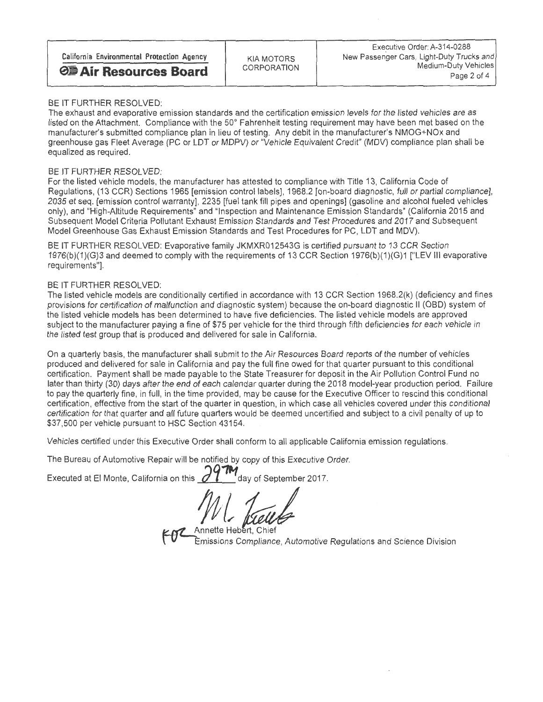BE IT FURTHER RESOLVED:<br>The exhaust and evaporative emission standards and the certification emission levels for the listed vehicles are as listed on the Attachment. Compliance with the 50° Fahrenheit testing requirement may have been met based on the manufacturer's submitted compliance plan in lieu of testing. Any debit in the manufacturer's NMOG+NOx and manufacturer's submitted compliance plan in lieu of testing. Any debit in the manufacturer's NMO( $\alpha$  and  $\alpha$  of the manufacturer's NMOG+NOx and the manufacturer's NMOG+NOx and the manufacturer's NMOG+NOx and the manufac greenhouse gas Fleet Average (PC or LDT or MDPV) or "Vehicle Equivalent Credit" (MDV) compliance plan shall be equalized as required

BE IT FURTHER RESOLVED:<br>For the listed vehicle models, the manufacturer has attested to compliance with Title 13, California Code of For the listed vehicle models, the manufacturer has attested to compliance with Title 13, California Code of Regulations, (13 CCR) Sections 1965 [emission control labels], 1968.2 [on-board diagnostic, full or partial compliance], 2035 et seq. [emission control warranty], 2235 [fuel tank fill pipes and openings] (gasoline and alcohol fueled vehicles<br>only), and "High-Altitude Requirements" and "Inspection and Maintenance Emission Standards" (Californ only), and "High-Altitude Requirements" and "Inspection and Maintenance Emission Standards" (California 2015 and Subsequent Model Criteria Pollutant Exhaust Emission Standards and Test Procedures and 2017 and Subsequent Model Greenhouse Gas Exhaust Emission Standards and Test Procedures for PC, LDT and MDV).

BE IT FURTHER RESOLVED: Evaporative family JAMXROIZ543G is certified pursuant to 13 CCR Section 1376/h V4VOM CU ILI 1976(b)(1)(G)3 and deemed to comply with the requirements of 13 CCR Section 1976(b)(1)(G)1 ["LEV Ill evaporative requirements"].

BE IT FURTHER RESOLVED:<br>The listed vehicle models are conditionally certified in accordance with 13 CCR Section 1968.2(k) (deficiency and fines provisions for certification of malfunction and diagnostic system) because the on-board diagnostic II (OBD) system of the listed vehicle models has been determined to have five deficiencies. The listed vehicle models are approved the listed vehicle models has been determined to have five deficiencies. The listed vehicle models are approved subject to the manufacturer paying a fine of \$75 per vehicle for the through fifth deficiencies for each vehicle in the listed test group that is produced and delivered for sale in California.

On a quarterly basis, the manufacturer shall submit to the Air Resources Board reports of the number of vehicles<br>produced and delivered for sale in California and pay the full fine owed for that quarter pursuant to this co produced and delivered for sale in California and pay the full fine owed for that quarter pursuant to this conditional certification. Payment shall be made payable to the State Treasurer for deposit in the Air Pollution Control Fund no later than thirty (30) days after the end of each calendar quarter during the 2018 model-year production period. Failure to pay the quarterly fine, in full, in the time provided, may be cause for the Executive Officer to rescind this conditional certification, effective from the start of the quarter in question, in which case all vehicles covered under this conditional certification for that quarter and all future quarters would be deemed uncertified and subject to a civil penalty of up to \$37,500 per vehicle pursuant to HSC Section 43154.

Vehicles certified under this Executive Order shall conform to all applicable California emission regulations.

The Bureau of Automotive Repair will be notified by copy of this Executive Order.

Executed at El Monte, California on this  $\mathscr{A}$   $\mathscr{V}$   $\mathscr{V}$  day of September 2017.

Annette Hebert, Chief Emissions Compliance, Automotive Regulations and Science Division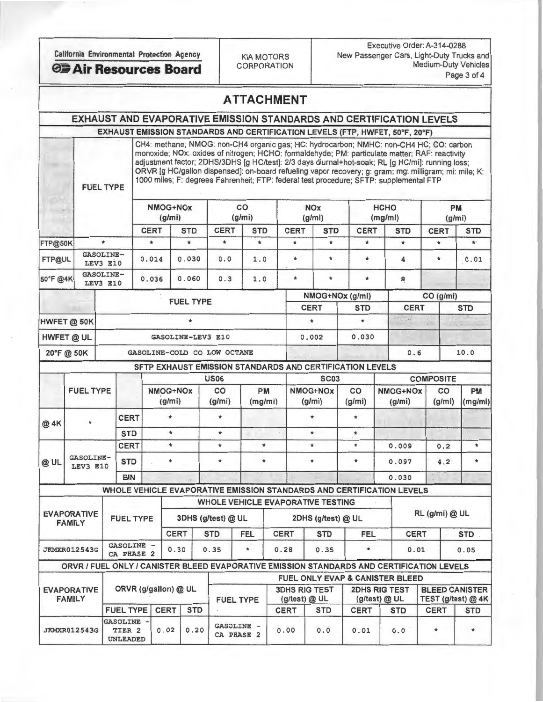Executive Order: A-314-0288 California Environmental Protection Agency<br>
KIA MOTORS New Passenger Cars, Light-Duty Trucks and<br>
Medium-Duty Vehicles **CORPORATION Medium-Duty Vehicle**<br>Page 3 of 4

| ATTACHMENT |  |  |  |  |  |  |  |  |  |
|------------|--|--|--|--|--|--|--|--|--|
|------------|--|--|--|--|--|--|--|--|--|

## EXHAUST AND EVAPORATIVE EMISSION STANDARDS AND CERTIFICATION LEVELS EXHAUST EMISSION STANDARDS AND CERTIFICATION LEVELS (FTP, HWFET, 50°F, 20°F)

CH4: methane; NMOG: non-CH4 organic gas; HC: hydrocarbon; NMHC: non-CH4 HC; CO: carbon monoxide; NOx: oxides of nitrogen; HCHO: formaldehyde; PM: particulate matter; RAF: reactivity adjustment factor; 2DHS/3DHS [g HC/test]: 2/3 days diurnal+hot-soak; RL [g HC/mi]: running loss; ORVR [g HC/gallon dispensed]: on-board refueling vapor recovery; g: gram; mg: milligram; mi: mile; K: FUEL TYPE 1000 miles; F: degrees Fahrenheit; FTP: federal test procedure; SFTP: supplemental FTP

| $\label{eq:1} \begin{array}{ccccc} \ddots & \ddots & \ddots \end{array}$ | NMOG+NOx<br>(g/mi)           |  | co<br>(g/mi)                |                   |             | <b>NO<sub>x</sub></b><br>(g/mi) | <b>HCHO</b> | (mg/mi)      | <b>PM</b><br>(g/mi) |             |             |            |  |
|--------------------------------------------------------------------------|------------------------------|--|-----------------------------|-------------------|-------------|---------------------------------|-------------|--------------|---------------------|-------------|-------------|------------|--|
|                                                                          |                              |  | <b>CERT</b>                 | <b>STD</b>        | <b>CERT</b> | <b>STD</b>                      | <b>CERT</b> | <b>STD</b>   | <b>CERT</b>         | <b>STD</b>  | <b>CERT</b> | <b>STD</b> |  |
| FTP@50K                                                                  | ۰                            |  | $\ast$                      | $\star$           | $\ast$      | $\star$                         | $\star$     | $\ast$       | $\ast$              | $\star$     |             | $\star$ .  |  |
| FTP@UL                                                                   | <b>GASOLINE-</b><br>LEV3 E10 |  | 0.014                       | 0.030             | 0.0         | 1.0                             | $\star$     | $\pm$        | $\star$             | 4           | $\ast$      | 0.01       |  |
| 50°F @4K                                                                 | <b>GASOLINE-</b><br>LEV3 E10 |  | 0.036                       | 0.060             | 0.3         | 1.0                             | $\star$     | $\mathbf{r}$ | $\star$             | 8           |             |            |  |
|                                                                          |                              |  |                             | <b>FUEL TYPE</b>  |             |                                 |             |              | NMOG+NOx (g/mi)     |             |             | CO (g/mi)  |  |
|                                                                          |                              |  |                             |                   |             |                                 | <b>CERT</b> |              | <b>STD</b>          | <b>CERT</b> |             | <b>STD</b> |  |
| HWFET @ 50K                                                              |                              |  |                             |                   |             |                                 |             |              | $\ast$              |             |             |            |  |
| HWFET @ UL                                                               |                              |  |                             | GASOLINE-LEV3 E10 |             |                                 | 0.002       |              | 0.030               |             |             |            |  |
| 20°F @ 50K                                                               |                              |  | GASOLINE-COLD CO LOW OCTANE |                   |             |                                 |             |              |                     | 0.6         |             | 10.0       |  |

SFTP EXHAUST EMISSION STANDARDS AND CERTIFICATION LEVELS

|                                     |                                                                                                 |                  |                      |         |                    |            | <b>US06</b>              |                      |                                          |             | <b>SC03</b>                                                           |              |                           |                                       | <b>COMPOSITE</b>                              |                      |
|-------------------------------------|-------------------------------------------------------------------------------------------------|------------------|----------------------|---------|--------------------|------------|--------------------------|----------------------|------------------------------------------|-------------|-----------------------------------------------------------------------|--------------|---------------------------|---------------------------------------|-----------------------------------------------|----------------------|
|                                     | <b>FUEL TYPE</b>                                                                                |                  |                      |         | NMOG+NOx<br>(g/mi) |            | co<br>(g/mi)             | <b>PM</b><br>(mg/mi) |                                          |             | NMOG+NOx<br>(g/mi)                                                    | CO<br>(g/mi) | <b>NMOG+NOx</b><br>(g/mi) |                                       | CO<br>(g/mi)                                  | <b>PM</b><br>(mg/mi) |
| $\bullet$<br>@ 4K                   |                                                                                                 |                  | <b>CERT</b>          |         |                    |            |                          |                      |                                          |             |                                                                       | $\star$      |                           |                                       |                                               |                      |
|                                     |                                                                                                 |                  | <b>STD</b>           | $\star$ |                    |            | $\star$                  |                      |                                          |             | ÷                                                                     | $\star$      |                           |                                       |                                               |                      |
|                                     |                                                                                                 |                  | <b>CERT</b>          |         | $\star$            |            | ÷.                       | $\ast$               |                                          |             | $\bullet$                                                             | $\ast$       | 0.009                     |                                       | 0.2                                           | $\star$              |
| <b>GASOLINE-</b><br>@UL<br>LEV3 E10 |                                                                                                 | <b>STD</b>       |                      |         | $\mathbf{r}$       |            | ÷                        |                      |                                          |             | ÷                                                                     | $\star$      |                           | 0.097                                 | 4.2                                           | $\star$              |
|                                     |                                                                                                 |                  | <b>BIN</b>           |         |                    |            |                          |                      |                                          |             |                                                                       |              |                           | 0.030                                 |                                               |                      |
|                                     |                                                                                                 |                  |                      |         |                    |            |                          |                      |                                          |             | WHOLE VEHICLE EVAPORATIVE EMISSION STANDARDS AND CERTIFICATION LEVELS |              |                           |                                       |                                               |                      |
|                                     |                                                                                                 |                  |                      |         |                    |            |                          |                      |                                          |             | <b>WHOLE VEHICLE EVAPORATIVE TESTING</b>                              |              |                           |                                       |                                               |                      |
|                                     | <b>EVAPORATIVE</b><br><b>FAMILY</b>                                                             | <b>FUEL TYPE</b> |                      |         |                    |            | 3DHS (g/test) @ UL       |                      |                                          |             | 2DHS (g/test) @ UL                                                    |              | RL (g/mi) @ UL            |                                       |                                               |                      |
|                                     |                                                                                                 |                  |                      |         | <b>CERT</b>        |            | <b>STD</b><br><b>FEL</b> |                      |                                          | <b>CERT</b> | <b>STD</b>                                                            |              | <b>FEL</b>                |                                       | <b>CERT</b>                                   | <b>STD</b>           |
|                                     | GASOLINE -<br><b>JKMXR012543G</b><br>0.30<br>0.35<br>0.28<br>0.35<br>$\star$<br>÷<br>CA PHASE 2 |                  |                      |         |                    | 0.01       |                          | 0.05                 |                                          |             |                                                                       |              |                           |                                       |                                               |                      |
|                                     | ORVR / FUEL ONLY / CANISTER BLEED EVAPORATIVE EMISSION STANDARDS AND CERTIFICATION LEVELS       |                  |                      |         |                    |            |                          |                      |                                          |             |                                                                       |              |                           |                                       |                                               |                      |
|                                     |                                                                                                 |                  |                      |         |                    |            |                          |                      |                                          |             | <b>FUEL ONLY EVAP &amp; CANISTER BLEED</b>                            |              |                           |                                       |                                               |                      |
|                                     | <b>EVAPORATIVE</b><br><b>FAMILY</b>                                                             |                  | ORVR (g/gallon) @ UL |         |                    |            |                          | <b>FUEL TYPE</b>     |                                          |             | <b>3DHS RIG TEST</b><br>(g/test) @ UL                                 |              |                           | <b>2DHS RIG TEST</b><br>(g/test) @ UL | <b>BLEED CANISTER</b><br>TEST (g/test) $@$ 4K |                      |
|                                     |                                                                                                 |                  | <b>FUEL TYPE</b>     |         | CERT               | <b>STD</b> |                          |                      | <b>CERT</b><br><b>STD</b><br><b>CERT</b> |             |                                                                       | <b>STD</b>   | <b>CERT</b>               | <b>STD</b>                            |                                               |                      |

JKMXR012543G TIER 2 0.02 0.20 GASOLINE - 0.00 0.0 0.01 0.01 0

UNLEADED